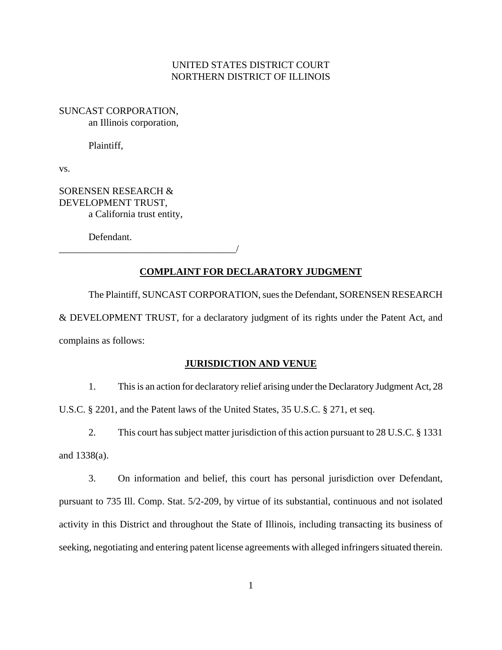# UNITED STATES DISTRICT COURT NORTHERN DISTRICT OF ILLINOIS

SUNCAST CORPORATION, an Illinois corporation,

Plaintiff,

vs.

SORENSEN RESEARCH & DEVELOPMENT TRUST, a California trust entity,

Defendant.

\_\_\_\_\_\_\_\_\_\_\_\_\_\_\_\_\_\_\_\_\_\_\_\_\_\_\_\_\_\_\_\_\_\_\_\_/

## **COMPLAINT FOR DECLARATORY JUDGMENT**

The Plaintiff, SUNCAST CORPORATION, sues the Defendant, SORENSEN RESEARCH & DEVELOPMENT TRUST, for a declaratory judgment of its rights under the Patent Act, and complains as follows:

### **JURISDICTION AND VENUE**

1. This is an action for declaratory relief arising under the Declaratory Judgment Act, 28 U.S.C. § 2201, and the Patent laws of the United States, 35 U.S.C. § 271, et seq.

2. This court has subject matter jurisdiction of this action pursuant to 28 U.S.C. § 1331 and 1338(a).

3. On information and belief, this court has personal jurisdiction over Defendant, pursuant to 735 Ill. Comp. Stat. 5/2-209, by virtue of its substantial, continuous and not isolated activity in this District and throughout the State of Illinois, including transacting its business of seeking, negotiating and entering patent license agreements with alleged infringers situated therein.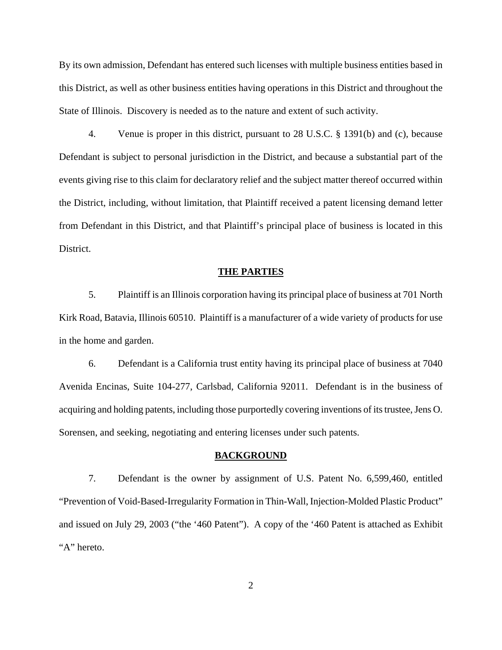By its own admission, Defendant has entered such licenses with multiple business entities based in this District, as well as other business entities having operations in this District and throughout the State of Illinois. Discovery is needed as to the nature and extent of such activity.

4. Venue is proper in this district, pursuant to 28 U.S.C. § 1391(b) and (c), because Defendant is subject to personal jurisdiction in the District, and because a substantial part of the events giving rise to this claim for declaratory relief and the subject matter thereof occurred within the District, including, without limitation, that Plaintiff received a patent licensing demand letter from Defendant in this District, and that Plaintiff's principal place of business is located in this District.

#### **THE PARTIES**

5. Plaintiff is an Illinois corporation having its principal place of business at 701 North Kirk Road, Batavia, Illinois 60510. Plaintiff is a manufacturer of a wide variety of products for use in the home and garden.

6. Defendant is a California trust entity having its principal place of business at 7040 Avenida Encinas, Suite 104-277, Carlsbad, California 92011. Defendant is in the business of acquiring and holding patents, including those purportedly covering inventions of its trustee, Jens O. Sorensen, and seeking, negotiating and entering licenses under such patents.

#### **BACKGROUND**

7. Defendant is the owner by assignment of U.S. Patent No. 6,599,460, entitled "Prevention of Void-Based-Irregularity Formation in Thin-Wall, Injection-Molded Plastic Product" and issued on July 29, 2003 ("the '460 Patent"). A copy of the '460 Patent is attached as Exhibit "A" hereto.

2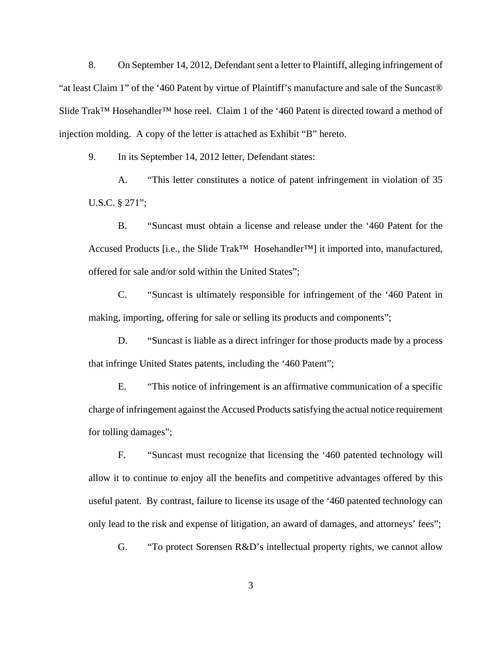8. On September 14, 2012, Defendant sent a letter to Plaintiff, alleging infringement of "at least Claim 1" of the '460 Patent by virtue of Plaintiff's manufacture and sale of the Suncast® Slide Trak™ Hosehandler™ hose reel. Claim 1 of the '460 Patent is directed toward a method of injection molding. A copy of the letter is attached as Exhibit "B" hereto.

9. In its September 14, 2012 letter, Defendant states:

 A. "This letter constitutes a notice of patent infringement in violation of 35 U.S.C. § 271";

 B. "Suncast must obtain a license and release under the '460 Patent for the Accused Products [i.e., the Slide Trak<sup>™</sup> Hosehandler™] it imported into, manufactured, offered for sale and/or sold within the United States";

 C. "Suncast is ultimately responsible for infringement of the '460 Patent in making, importing, offering for sale or selling its products and components";

 D. "Suncast is liable as a direct infringer for those products made by a process that infringe United States patents, including the '460 Patent";

 E. "This notice of infringement is an affirmative communication of a specific charge of infringement against the Accused Products satisfying the actual notice requirement for tolling damages";

 F. "Suncast must recognize that licensing the '460 patented technology will allow it to continue to enjoy all the benefits and competitive advantages offered by this useful patent. By contrast, failure to license its usage of the '460 patented technology can only lead to the risk and expense of litigation, an award of damages, and attorneys' fees";

G. "To protect Sorensen R&D's intellectual property rights, we cannot allow

3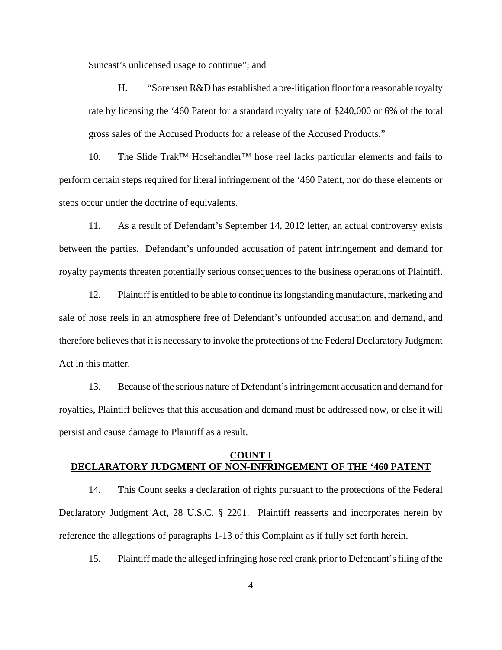Suncast's unlicensed usage to continue"; and

 H. "Sorensen R&D has established a pre-litigation floor for a reasonable royalty rate by licensing the '460 Patent for a standard royalty rate of \$240,000 or 6% of the total gross sales of the Accused Products for a release of the Accused Products."

10. The Slide Trak™ Hosehandler™ hose reel lacks particular elements and fails to perform certain steps required for literal infringement of the '460 Patent, nor do these elements or steps occur under the doctrine of equivalents.

11. As a result of Defendant's September 14, 2012 letter, an actual controversy exists between the parties. Defendant's unfounded accusation of patent infringement and demand for royalty payments threaten potentially serious consequences to the business operations of Plaintiff.

12. Plaintiff is entitled to be able to continue its longstanding manufacture, marketing and sale of hose reels in an atmosphere free of Defendant's unfounded accusation and demand, and therefore believes that it is necessary to invoke the protections of the Federal Declaratory Judgment Act in this matter.

13. Because of the serious nature of Defendant's infringement accusation and demand for royalties, Plaintiff believes that this accusation and demand must be addressed now, or else it will persist and cause damage to Plaintiff as a result.

# **COUNT I DECLARATORY JUDGMENT OF NON-INFRINGEMENT OF THE '460 PATENT**

14. This Count seeks a declaration of rights pursuant to the protections of the Federal Declaratory Judgment Act, 28 U.S.C. § 2201. Plaintiff reasserts and incorporates herein by reference the allegations of paragraphs 1-13 of this Complaint as if fully set forth herein.

15. Plaintiff made the alleged infringing hose reel crank prior to Defendant's filing of the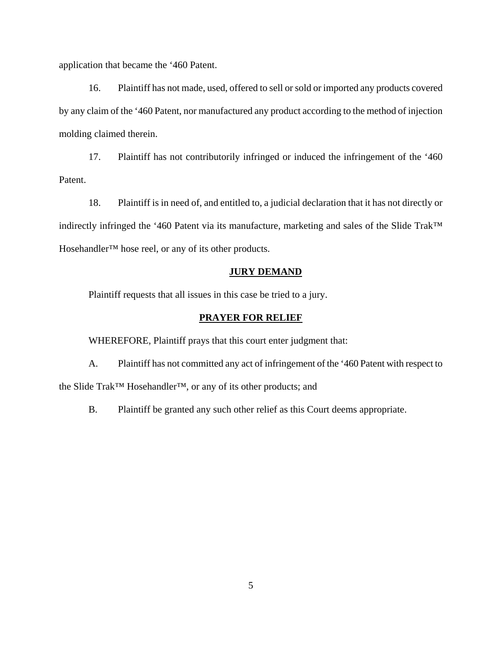application that became the '460 Patent.

16. Plaintiff has not made, used, offered to sell or sold or imported any products covered by any claim of the '460 Patent, nor manufactured any product according to the method of injection molding claimed therein.

17. Plaintiff has not contributorily infringed or induced the infringement of the '460 Patent.

18. Plaintiff is in need of, and entitled to, a judicial declaration that it has not directly or indirectly infringed the '460 Patent via its manufacture, marketing and sales of the Slide Trak™ Hosehandler™ hose reel, or any of its other products.

### **JURY DEMAND**

Plaintiff requests that all issues in this case be tried to a jury.

#### **PRAYER FOR RELIEF**

WHEREFORE, Plaintiff prays that this court enter judgment that:

A. Plaintiff has not committed any act of infringement of the '460 Patent with respect to the Slide Trak™ Hosehandler™, or any of its other products; and

B. Plaintiff be granted any such other relief as this Court deems appropriate.